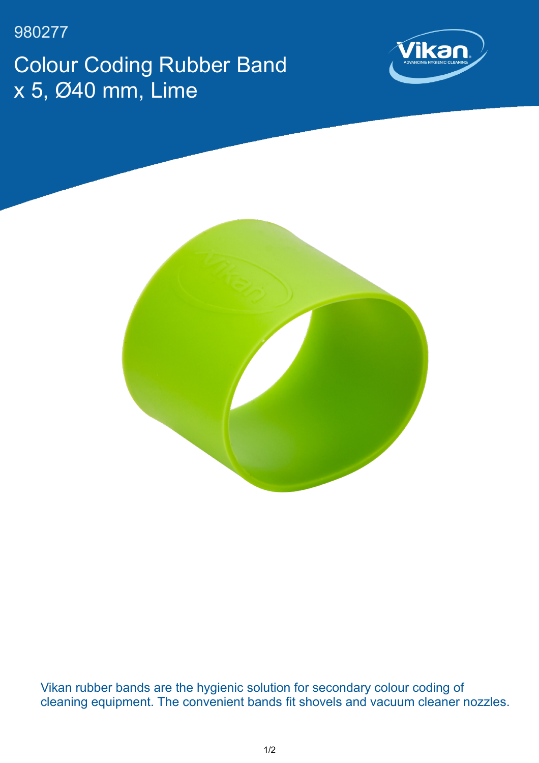980277

Colour Coding Rubber Band x 5, Ø40 mm, Lime





Vikan rubber bands are the hygienic solution for secondary colour coding of cleaning equipment. The convenient bands fit shovels and vacuum cleaner nozzles.